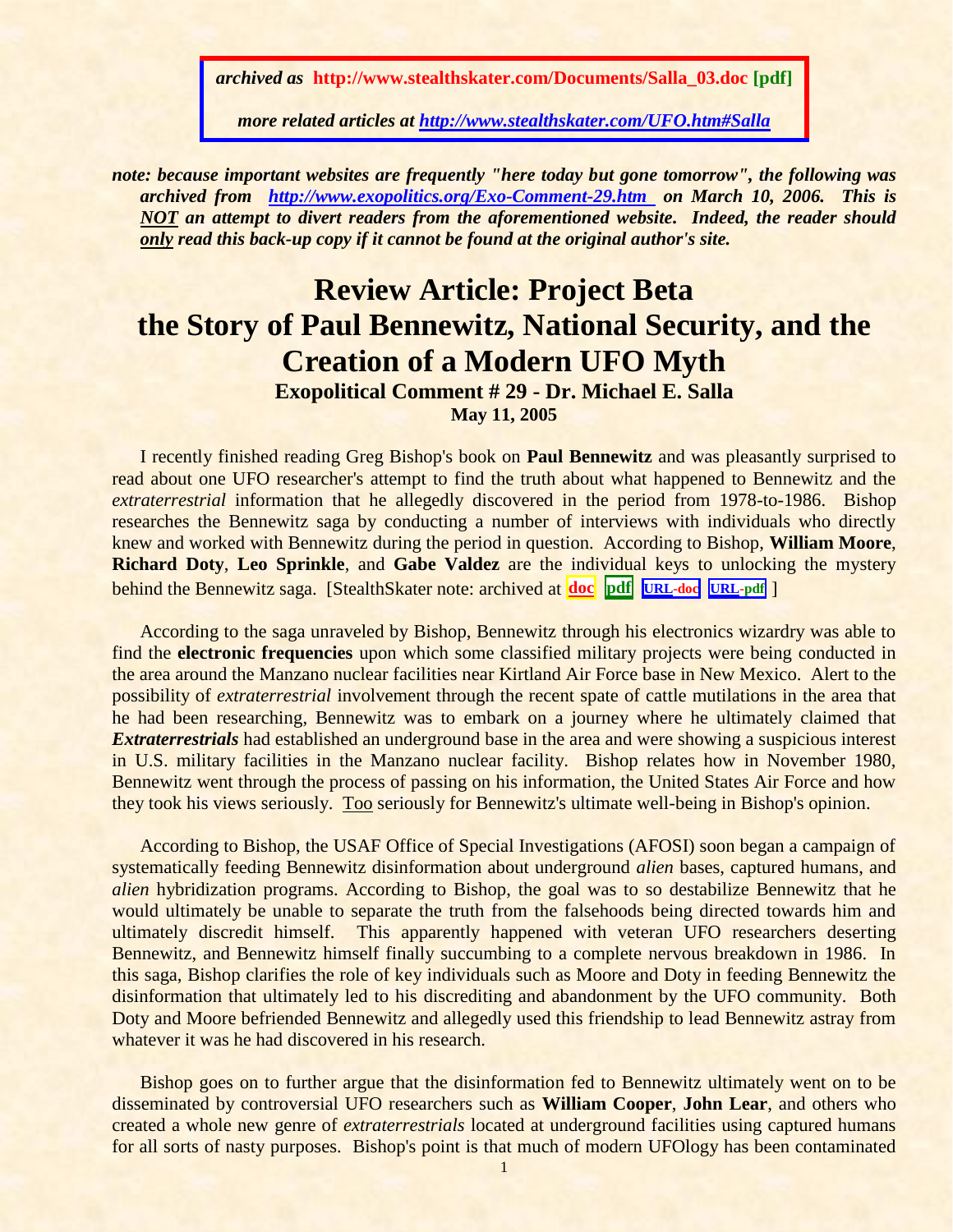*archived as* **http://www.stealthskater.com/Documents/Salla\_03.doc [pdf]**

*more related articles at<http://www.stealthskater.com/UFO.htm#Salla>*

*note: because important websites are frequently "here today but gone tomorrow", the following was archived from <http://www.exopolitics.org/Exo-Comment-29.htm>on March 10, 2006. This is NOT an attempt to divert readers from the aforementioned website. Indeed, the reader should only read this back-up copy if it cannot be found at the original author's site.*

## **Review Article: Project Beta the Story of Paul Bennewitz, National Security, and the Creation of a Modern UFO Myth**

**Exopolitical Comment # 29 - Dr. Michael E. Salla**

**May 11, 2005**

I recently finished reading Greg Bishop's book on **Paul Bennewitz** and was pleasantly surprised to read about one UFO researcher's attempt to find the truth about what happened to Bennewitz and the *extraterrestrial* information that he allegedly discovered in the period from 1978-to-1986. Bishop researches the Bennewitz saga by conducting a number of interviews with individuals who directly knew and worked with Bennewitz during the period in question. According to Bishop, **William Moore**, **Richard Doty**, **Leo Sprinkle**, and **Gabe Valdez** are the individual keys to unlocking the mystery behind the Bennewitz saga. [StealthSkater note: archived at **[doc](../../Stealthskater/Documents/Bennewitz_1.doc) [pdf](../../Stealthskater_PDF/Documents/Bennewitz_1.pdf)****[URL-](http://www.stealthskater.com/Documents/Bennewitz_1.doc)doc [URL-](http://www.stealthskater.com/Documents/Bennewitz_1.pdf)pdf** ]

According to the saga unraveled by Bishop, Bennewitz through his electronics wizardry was able to find the **electronic frequencies** upon which some classified military projects were being conducted in the area around the Manzano nuclear facilities near Kirtland Air Force base in New Mexico. Alert to the possibility of *extraterrestrial* involvement through the recent spate of cattle mutilations in the area that he had been researching, Bennewitz was to embark on a journey where he ultimately claimed that *Extraterrestrials* had established an underground base in the area and were showing a suspicious interest in U.S. military facilities in the Manzano nuclear facility. Bishop relates how in November 1980, Bennewitz went through the process of passing on his information, the United States Air Force and how they took his views seriously. Too seriously for Bennewitz's ultimate well-being in Bishop's opinion.

According to Bishop, the USAF Office of Special Investigations (AFOSI) soon began a campaign of systematically feeding Bennewitz disinformation about underground *alien* bases, captured humans, and *alien* hybridization programs. According to Bishop, the goal was to so destabilize Bennewitz that he would ultimately be unable to separate the truth from the falsehoods being directed towards him and ultimately discredit himself. This apparently happened with veteran UFO researchers deserting Bennewitz, and Bennewitz himself finally succumbing to a complete nervous breakdown in 1986. In this saga, Bishop clarifies the role of key individuals such as Moore and Doty in feeding Bennewitz the disinformation that ultimately led to his discrediting and abandonment by the UFO community. Both Doty and Moore befriended Bennewitz and allegedly used this friendship to lead Bennewitz astray from whatever it was he had discovered in his research.

Bishop goes on to further argue that the disinformation fed to Bennewitz ultimately went on to be disseminated by controversial UFO researchers such as **William Cooper**, **John Lear**, and others who created a whole new genre of *extraterrestrials* located at underground facilities using captured humans for all sorts of nasty purposes. Bishop's point is that much of modern UFOlogy has been contaminated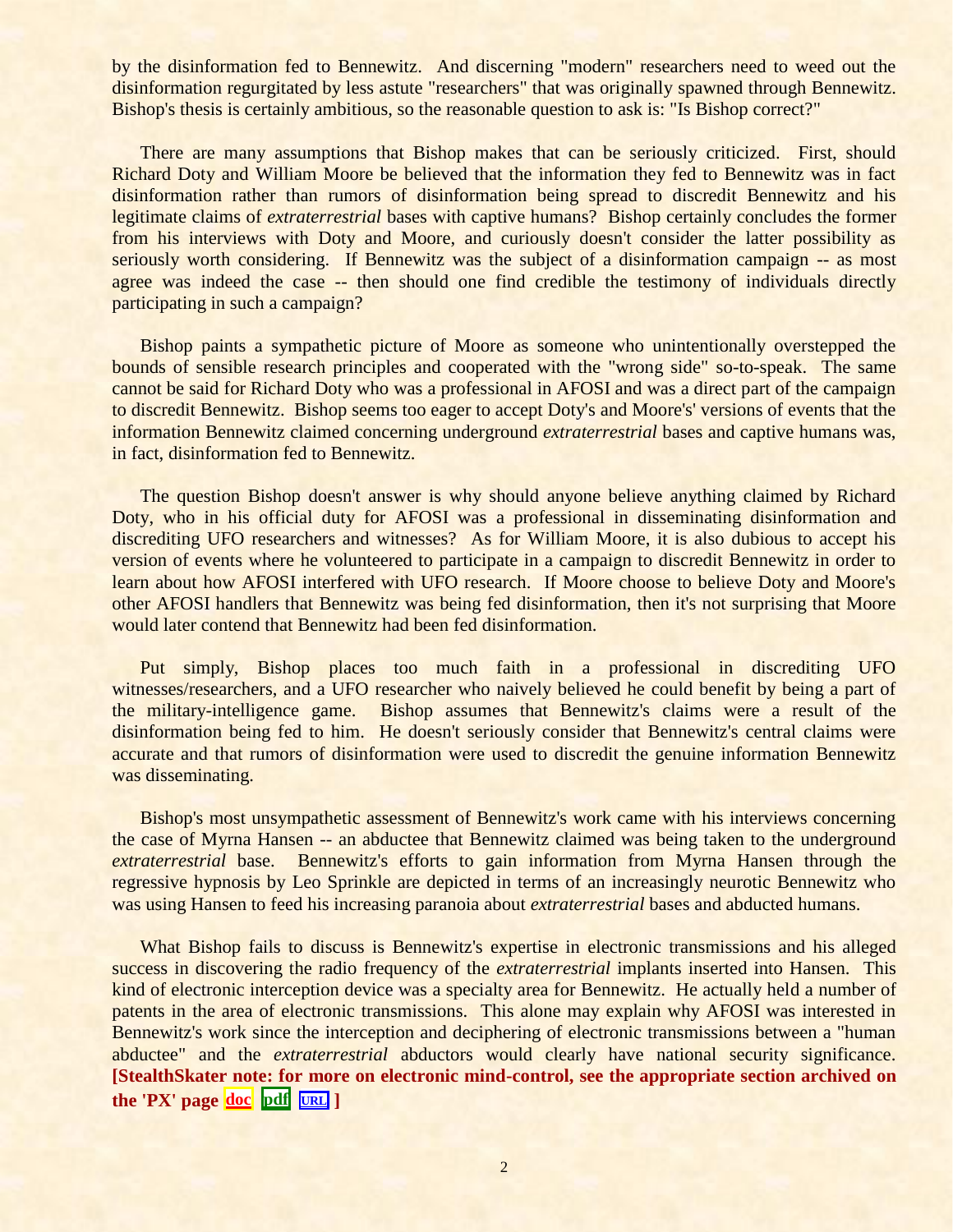by the disinformation fed to Bennewitz. And discerning "modern" researchers need to weed out the disinformation regurgitated by less astute "researchers" that was originally spawned through Bennewitz. Bishop's thesis is certainly ambitious, so the reasonable question to ask is: "Is Bishop correct?"

There are many assumptions that Bishop makes that can be seriously criticized. First, should Richard Doty and William Moore be believed that the information they fed to Bennewitz was in fact disinformation rather than rumors of disinformation being spread to discredit Bennewitz and his legitimate claims of *extraterrestrial* bases with captive humans? Bishop certainly concludes the former from his interviews with Doty and Moore, and curiously doesn't consider the latter possibility as seriously worth considering. If Bennewitz was the subject of a disinformation campaign -- as most agree was indeed the case -- then should one find credible the testimony of individuals directly participating in such a campaign?

Bishop paints a sympathetic picture of Moore as someone who unintentionally overstepped the bounds of sensible research principles and cooperated with the "wrong side" so-to-speak. The same cannot be said for Richard Doty who was a professional in AFOSI and was a direct part of the campaign to discredit Bennewitz. Bishop seems too eager to accept Doty's and Moore's' versions of events that the information Bennewitz claimed concerning underground *extraterrestrial* bases and captive humans was, in fact, disinformation fed to Bennewitz.

The question Bishop doesn't answer is why should anyone believe anything claimed by Richard Doty, who in his official duty for AFOSI was a professional in disseminating disinformation and discrediting UFO researchers and witnesses? As for William Moore, it is also dubious to accept his version of events where he volunteered to participate in a campaign to discredit Bennewitz in order to learn about how AFOSI interfered with UFO research. If Moore choose to believe Doty and Moore's other AFOSI handlers that Bennewitz was being fed disinformation, then it's not surprising that Moore would later contend that Bennewitz had been fed disinformation.

Put simply, Bishop places too much faith in a professional in discrediting UFO witnesses/researchers, and a UFO researcher who naively believed he could benefit by being a part of the military-intelligence game. Bishop assumes that Bennewitz's claims were a result of the disinformation being fed to him. He doesn't seriously consider that Bennewitz's central claims were accurate and that rumors of disinformation were used to discredit the genuine information Bennewitz was disseminating.

Bishop's most unsympathetic assessment of Bennewitz's work came with his interviews concerning the case of Myrna Hansen -- an abductee that Bennewitz claimed was being taken to the underground *extraterrestrial* base. Bennewitz's efforts to gain information from Myrna Hansen through the regressive hypnosis by Leo Sprinkle are depicted in terms of an increasingly neurotic Bennewitz who was using Hansen to feed his increasing paranoia about *extraterrestrial* bases and abducted humans.

What Bishop fails to discuss is Bennewitz's expertise in electronic transmissions and his alleged success in discovering the radio frequency of the *extraterrestrial* implants inserted into Hansen. This kind of electronic interception device was a specialty area for Bennewitz. He actually held a number of patents in the area of electronic transmissions. This alone may explain why AFOSI was interested in Bennewitz's work since the interception and deciphering of electronic transmissions between a "human abductee" and the *extraterrestrial* abductors would clearly have national security significance. **[StealthSkater note: for more on electronic mind-control, see the appropriate section archived on the 'PX' page [doc](../../Stealthskater/PX.doc)**  $pdf$   $[URL]$  $[URL]$  $[URL]$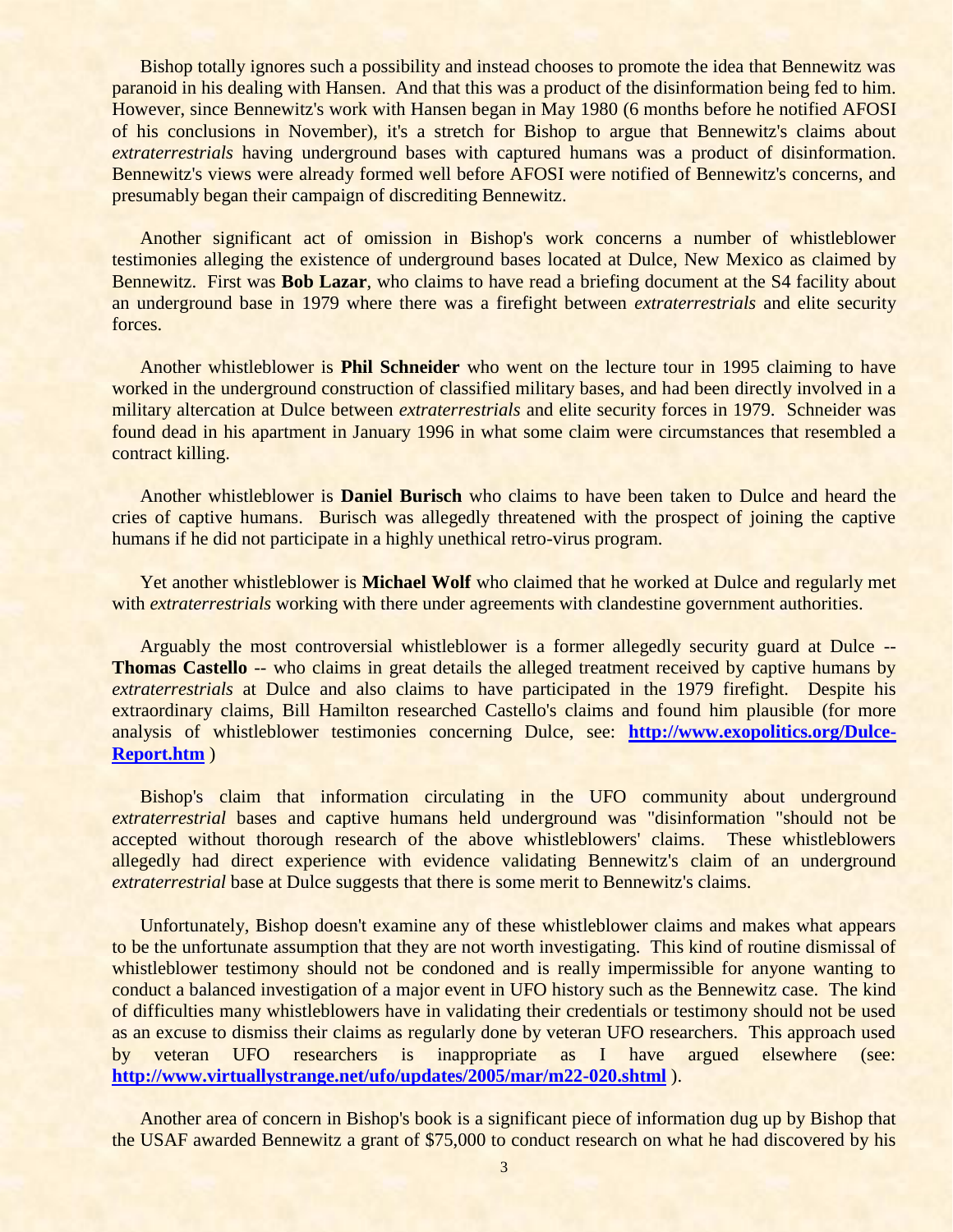Bishop totally ignores such a possibility and instead chooses to promote the idea that Bennewitz was paranoid in his dealing with Hansen. And that this was a product of the disinformation being fed to him. However, since Bennewitz's work with Hansen began in May 1980 (6 months before he notified AFOSI of his conclusions in November), it's a stretch for Bishop to argue that Bennewitz's claims about *extraterrestrials* having underground bases with captured humans was a product of disinformation. Bennewitz's views were already formed well before AFOSI were notified of Bennewitz's concerns, and presumably began their campaign of discrediting Bennewitz.

Another significant act of omission in Bishop's work concerns a number of whistleblower testimonies alleging the existence of underground bases located at Dulce, New Mexico as claimed by Bennewitz. First was **Bob Lazar**, who claims to have read a briefing document at the S4 facility about an underground base in 1979 where there was a firefight between *extraterrestrials* and elite security forces.

Another whistleblower is **Phil Schneider** who went on the lecture tour in 1995 claiming to have worked in the underground construction of classified military bases, and had been directly involved in a military altercation at Dulce between *extraterrestrials* and elite security forces in 1979. Schneider was found dead in his apartment in January 1996 in what some claim were circumstances that resembled a contract killing.

Another whistleblower is **Daniel Burisch** who claims to have been taken to Dulce and heard the cries of captive humans. Burisch was allegedly threatened with the prospect of joining the captive humans if he did not participate in a highly unethical retro-virus program.

Yet another whistleblower is **Michael Wolf** who claimed that he worked at Dulce and regularly met with *extraterrestrials* working with there under agreements with clandestine government authorities.

Arguably the most controversial whistleblower is a former allegedly security guard at Dulce -- **Thomas Castello** -- who claims in great details the alleged treatment received by captive humans by *extraterrestrials* at Dulce and also claims to have participated in the 1979 firefight. Despite his extraordinary claims, Bill Hamilton researched Castello's claims and found him plausible (for more analysis of whistleblower testimonies concerning Dulce, see: **[http://www.exopolitics.org/Dulce-](http://www.exopolitics.org/Dulce-Report.htm)[Report.htm](http://www.exopolitics.org/Dulce-Report.htm)** )

Bishop's claim that information circulating in the UFO community about underground *extraterrestrial* bases and captive humans held underground was "disinformation "should not be accepted without thorough research of the above whistleblowers' claims. These whistleblowers allegedly had direct experience with evidence validating Bennewitz's claim of an underground *extraterrestrial* base at Dulce suggests that there is some merit to Bennewitz's claims.

Unfortunately, Bishop doesn't examine any of these whistleblower claims and makes what appears to be the unfortunate assumption that they are not worth investigating. This kind of routine dismissal of whistleblower testimony should not be condoned and is really impermissible for anyone wanting to conduct a balanced investigation of a major event in UFO history such as the Bennewitz case. The kind of difficulties many whistleblowers have in validating their credentials or testimony should not be used as an excuse to dismiss their claims as regularly done by veteran UFO researchers. This approach used by veteran UFO researchers is inappropriate as I have argued elsewhere (see: **<http://www.virtuallystrange.net/ufo/updates/2005/mar/m22-020.shtml>** ).

Another area of concern in Bishop's book is a significant piece of information dug up by Bishop that the USAF awarded Bennewitz a grant of \$75,000 to conduct research on what he had discovered by his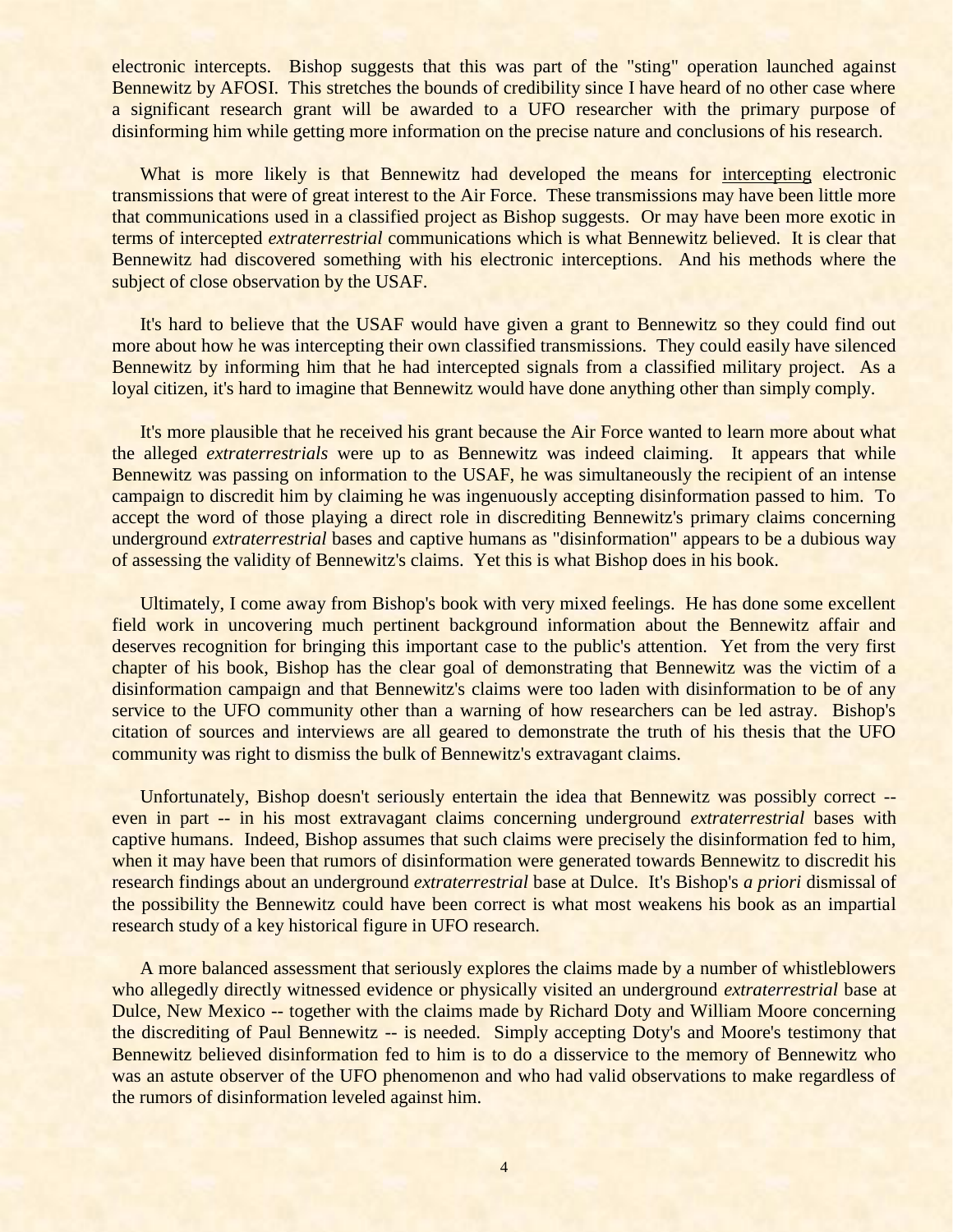electronic intercepts. Bishop suggests that this was part of the "sting" operation launched against Bennewitz by AFOSI. This stretches the bounds of credibility since I have heard of no other case where a significant research grant will be awarded to a UFO researcher with the primary purpose of disinforming him while getting more information on the precise nature and conclusions of his research.

What is more likely is that Bennewitz had developed the means for intercepting electronic transmissions that were of great interest to the Air Force. These transmissions may have been little more that communications used in a classified project as Bishop suggests. Or may have been more exotic in terms of intercepted *extraterrestrial* communications which is what Bennewitz believed. It is clear that Bennewitz had discovered something with his electronic interceptions. And his methods where the subject of close observation by the USAF.

It's hard to believe that the USAF would have given a grant to Bennewitz so they could find out more about how he was intercepting their own classified transmissions. They could easily have silenced Bennewitz by informing him that he had intercepted signals from a classified military project. As a loyal citizen, it's hard to imagine that Bennewitz would have done anything other than simply comply.

It's more plausible that he received his grant because the Air Force wanted to learn more about what the alleged *extraterrestrials* were up to as Bennewitz was indeed claiming. It appears that while Bennewitz was passing on information to the USAF, he was simultaneously the recipient of an intense campaign to discredit him by claiming he was ingenuously accepting disinformation passed to him. To accept the word of those playing a direct role in discrediting Bennewitz's primary claims concerning underground *extraterrestrial* bases and captive humans as "disinformation" appears to be a dubious way of assessing the validity of Bennewitz's claims. Yet this is what Bishop does in his book.

Ultimately, I come away from Bishop's book with very mixed feelings. He has done some excellent field work in uncovering much pertinent background information about the Bennewitz affair and deserves recognition for bringing this important case to the public's attention. Yet from the very first chapter of his book, Bishop has the clear goal of demonstrating that Bennewitz was the victim of a disinformation campaign and that Bennewitz's claims were too laden with disinformation to be of any service to the UFO community other than a warning of how researchers can be led astray. Bishop's citation of sources and interviews are all geared to demonstrate the truth of his thesis that the UFO community was right to dismiss the bulk of Bennewitz's extravagant claims.

Unfortunately, Bishop doesn't seriously entertain the idea that Bennewitz was possibly correct - even in part -- in his most extravagant claims concerning underground *extraterrestrial* bases with captive humans. Indeed, Bishop assumes that such claims were precisely the disinformation fed to him, when it may have been that rumors of disinformation were generated towards Bennewitz to discredit his research findings about an underground *extraterrestrial* base at Dulce. It's Bishop's *a priori* dismissal of the possibility the Bennewitz could have been correct is what most weakens his book as an impartial research study of a key historical figure in UFO research.

A more balanced assessment that seriously explores the claims made by a number of whistleblowers who allegedly directly witnessed evidence or physically visited an underground *extraterrestrial* base at Dulce, New Mexico -- together with the claims made by Richard Doty and William Moore concerning the discrediting of Paul Bennewitz -- is needed. Simply accepting Doty's and Moore's testimony that Bennewitz believed disinformation fed to him is to do a disservice to the memory of Bennewitz who was an astute observer of the UFO phenomenon and who had valid observations to make regardless of the rumors of disinformation leveled against him.